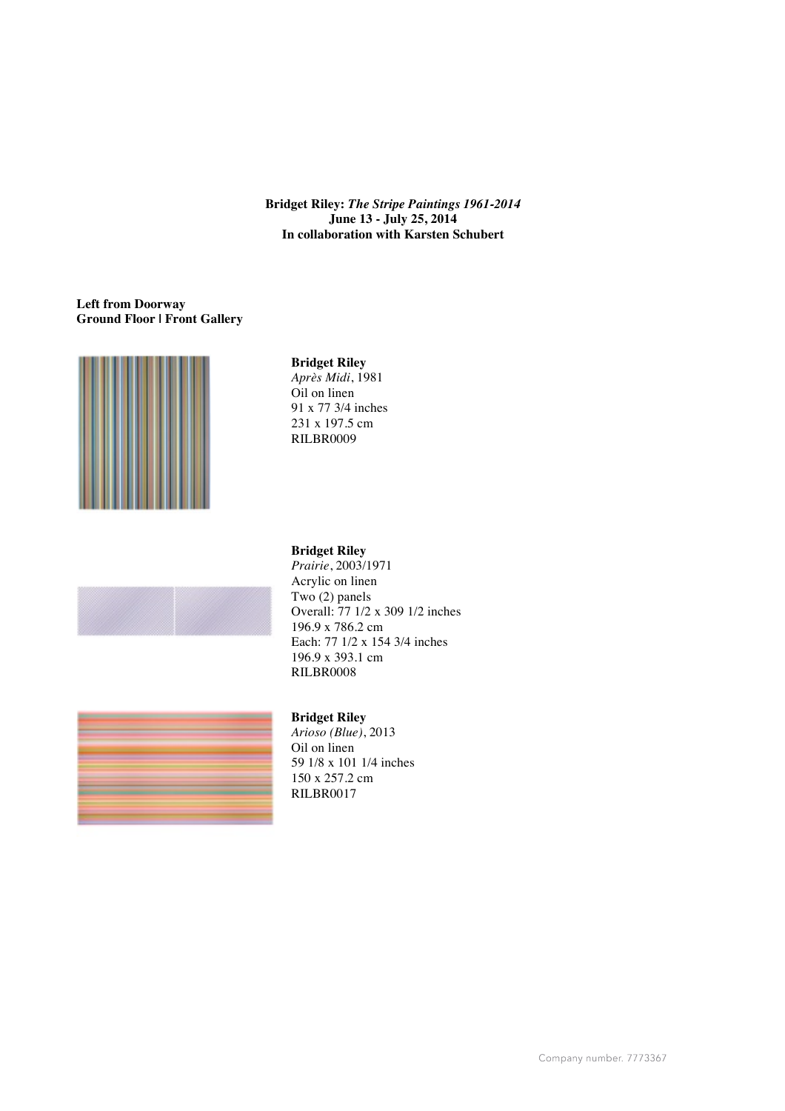**Bridget Riley:** *The Stripe Paintings 1961-2014* **June 13 - July 25, 2014 In collaboration with Karsten Schubert**

### **Left from Doorway Ground Floor | Front Gallery**



# **Bridget Riley**

*Après Midi*, 1981 Oil on linen 91 x 77 3/4 inches 231 x 197.5 cm RILBR0009



# **Bridget Riley**

*Prairie*, 2003/1971 Acrylic on linen Two (2) panels Overall: 77 1/2 x 309 1/2 inches 196.9 x 786.2 cm Each: 77 1/2 x 154 3/4 inches 196.9 x 393.1 cm RILBR0008



*Arioso (Blue)*, 2013 Oil on linen 59 1/8 x 101 1/4 inches 150 x 257.2 cm RILBR0017

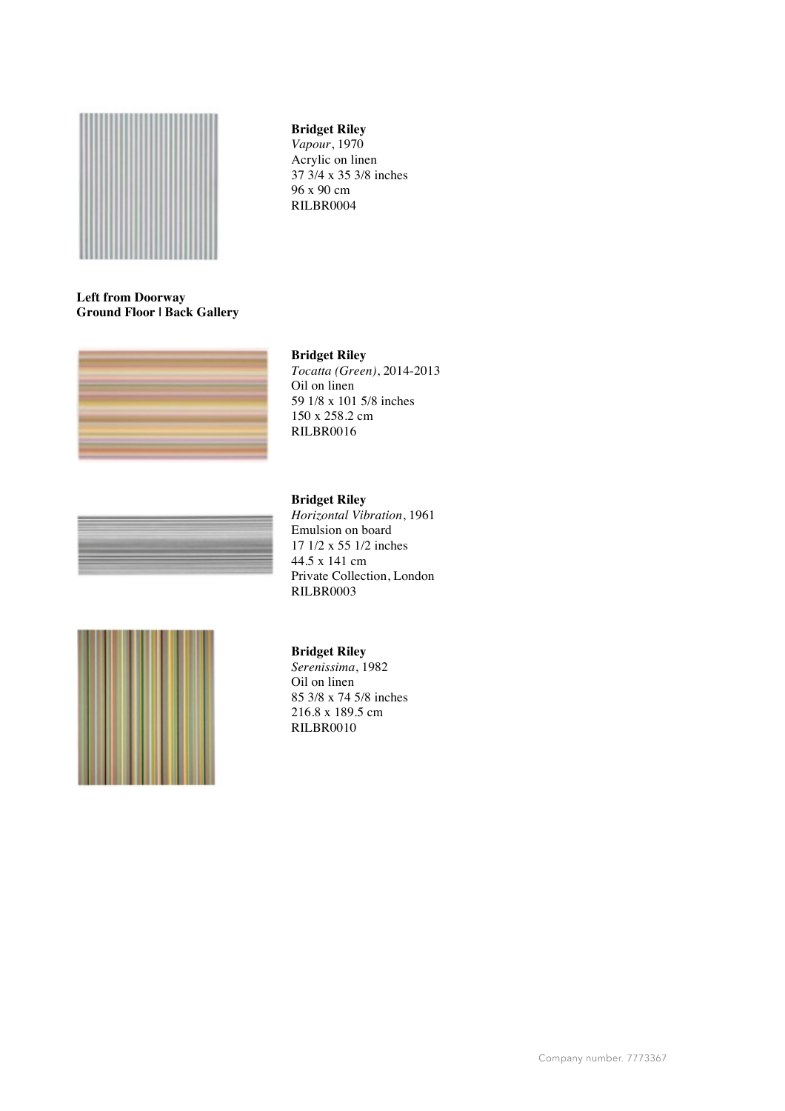

# **Bridget Riley**

*Vapour*, 1970 Acrylic on linen 37 3/4 x 35 3/8 inches 96 x 90 cm RILBR0004

# **Left from Doorway Ground Floor | Back Gallery**



#### **Bridget Riley**

*Tocatta (Green)*, 2014-2013 Oil on linen 59 1/8 x 101 5/8 inches 150 x 258.2 cm RILBR0016

#### **Bridget Riley**

*Horizontal Vibration*, 1961 Emulsion on board 17 1/2 x 55 1/2 inches 44.5 x 141 cm Private Collection, London RILBR0003



#### **Bridget Riley**

*Serenissima*, 1982 Oil on linen 85 3/8 x 74 5/8 inches 216.8 x 189.5 cm RILBR0010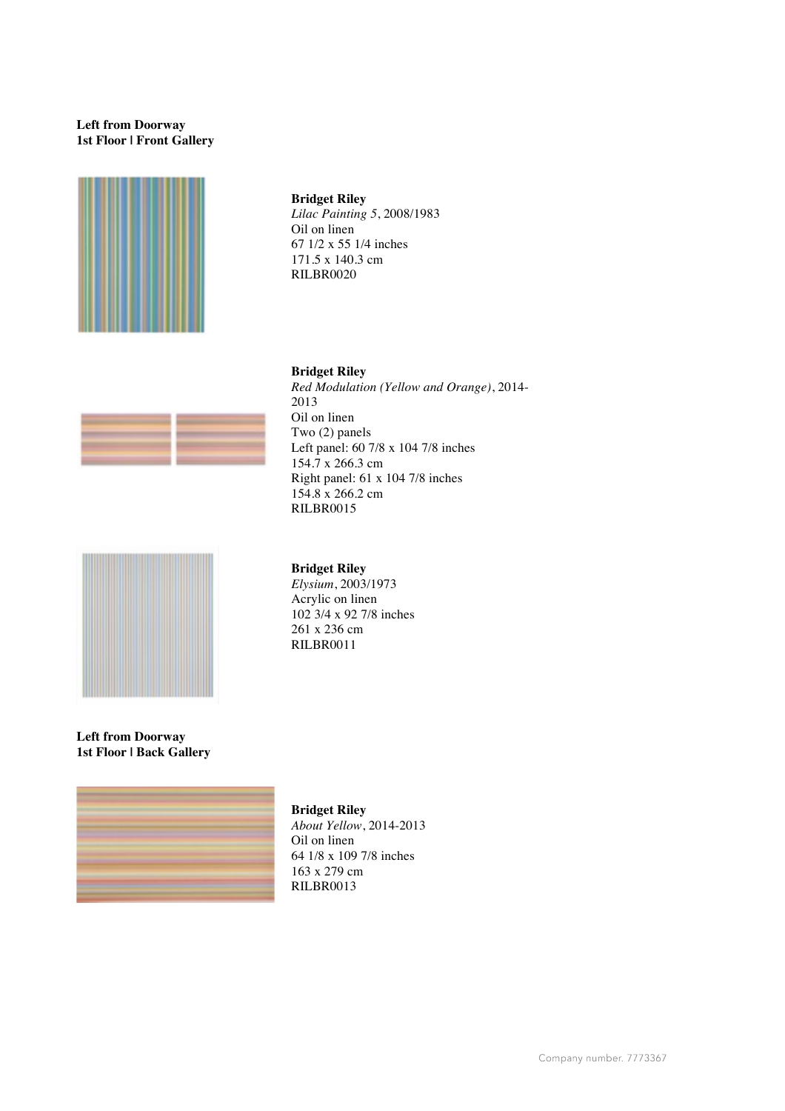# **Left from Doorway 1st Floor | Front Gallery**



# **Bridget Riley**

*Lilac Painting 5*, 2008/1983 Oil on linen 67 1/2 x 55 1/4 inches 171.5 x 140.3 cm RILBR0020

### **Bridget Riley**  *Red Modulation (Yellow and Orange)*, 2014-





### **Bridget Riley**  *Elysium*, 2003/1973 Acrylic on linen 102 3/4 x 92 7/8 inches 261 x 236 cm

RILBR0011

154.8 x 266.2 cm RILBR0015

**Left from Doorway 1st Floor | Back Gallery** 



**Bridget Riley**  *About Yellow*, 2014-2013 Oil on linen 64 1/8 x 109 7/8 inches 163 x 279 cm RILBR0013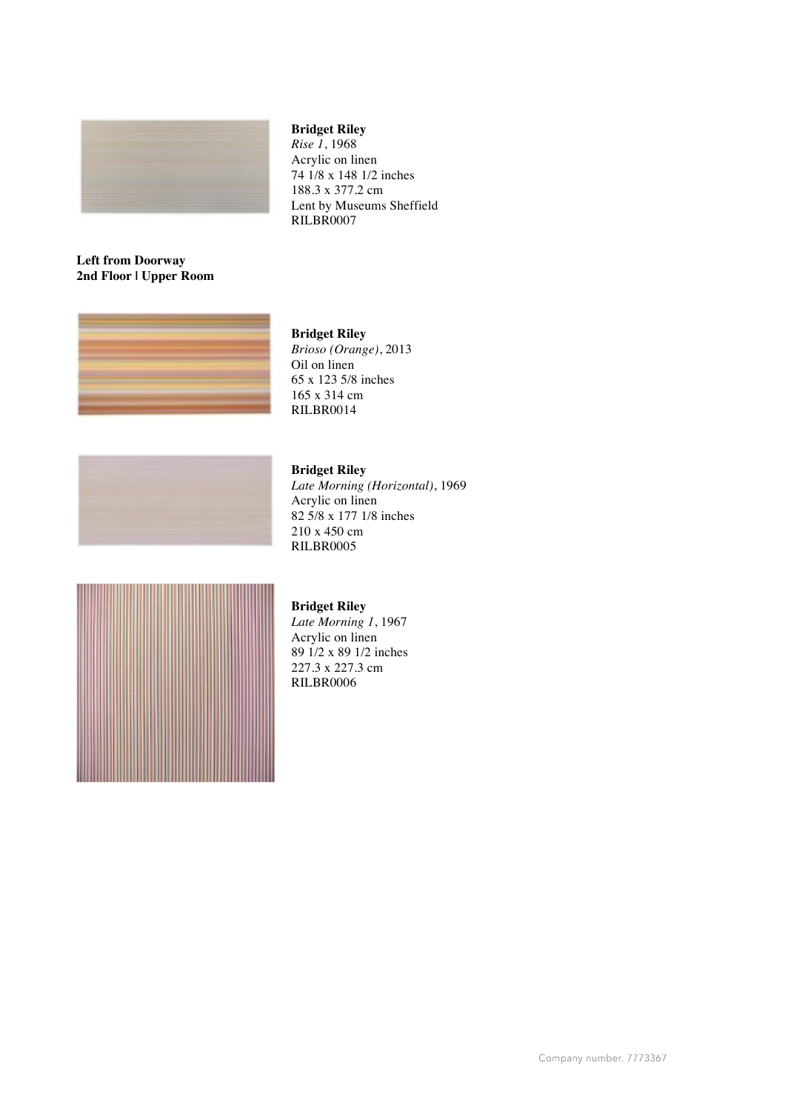

# **Bridget Riley**

*Rise 1*, 1968 Acrylic on linen 74 1/8 x 148 1/2 inches 188.3 x 377.2 cm Lent by Museums Sheffield RILBR0007

# **Left from Doorway 2nd Floor | Upper Room**





# **Bridget Riley**

*Brioso (Orange)*, 2013 Oil on linen 65 x 123 5/8 inches 165 x 314 cm RILBR0014

# **Bridget Riley**

*Late Morning (Horizontal)*, 1969 Acrylic on linen 82 5/8 x 177 1/8 inches 210 x 450 cm RILBR0005



# **Bridget Riley**

*Late Morning 1*, 1967 Acrylic on linen 89 1/2 x 89 1/2 inches 227.3 x 227.3 cm RILBR0006